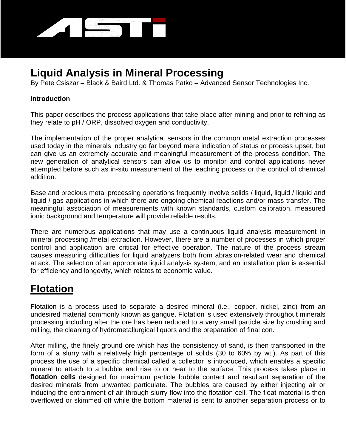

# **Liquid Analysis in Mineral Processing**

By Pete Csiszar – Black & Baird Ltd. & Thomas Patko – Advanced Sensor Technologies Inc.

#### **Introduction**

This paper describes the process applications that take place after mining and prior to refining as they relate to pH / ORP, dissolved oxygen and conductivity.

The implementation of the proper analytical sensors in the common metal extraction processes used today in the minerals industry go far beyond mere indication of status or process upset, but can give us an extremely accurate and meaningful measurement of the process condition. The new generation of analytical sensors can allow us to monitor and control applications never attempted before such as in-situ measurement of the leaching process or the control of chemical addition.

Base and precious metal processing operations frequently involve solids / liquid, liquid / liquid and liquid / gas applications in which there are ongoing chemical reactions and/or mass transfer. The meaningful association of measurements with known standards, custom calibration, measured ionic background and temperature will provide reliable results.

There are numerous applications that may use a continuous liquid analysis measurement in mineral processing /metal extraction. However, there are a number of processes in which proper control and application are critical for effective operation. The nature of the process stream causes measuring difficulties for liquid analyzers both from abrasion-related wear and chemical attack. The selection of an appropriate liquid analysis system, and an installation plan is essential for efficiency and longevity, which relates to economic value.

# **Flotation**

Flotation is a process used to separate a desired mineral (i.e., copper, nickel, zinc) from an undesired material commonly known as gangue. Flotation is used extensively throughout minerals processing including after the ore has been reduced to a very small particle size by crushing and milling, the cleaning of hydrometallurgical liquors and the preparation of final con.

After milling, the finely ground ore which has the consistency of sand, is then transported in the form of a slurry with a relatively high percentage of solids (30 to 60% by wt.). As part of this process the use of a specific chemical called a collector is introduced, which enables a specific mineral to attach to a bubble and rise to or near to the surface. This process takes place in **flotation cells** designed for maximum particle bubble contact and resultant separation of the desired minerals from unwanted particulate. The bubbles are caused by either injecting air or inducing the entrainment of air through slurry flow into the flotation cell. The float material is then overflowed or skimmed off while the bottom material is sent to another separation process or to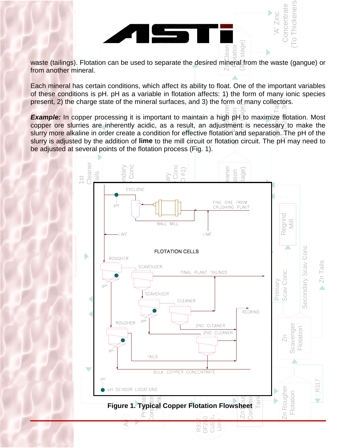Zr**BC**lean waste (tailings). Flotation can be used to separate the desired mineral from the waste (gangue) or from another mineral.

Flotation stage) Zinc **Concentrate** (To Thickeners)

nickeners Concentrate

ni<br>ie<br><sub>I</sub>t, iei<br>cc<br>2) al<br>nd<br>:he Each mineral has certain conditions, which affect its ability to float. One of the important variables of these conditions is pH. pH as a variable in flotation affects: 1) the form of many ionic species present, 2) the charge state of the mineral surfaces, and 3) the form of many collectors.

Cu<br>Cu<br>C  $\frac{1}{2}$ aner Example: In copper processing it is important to maintain a high pH;to maximize flotation. Most<br>copper ore slurries are inherently acidic, as a result, an adjustment is necessary to make the (2nd stage) ec<br>| E<br>35<br>35  $\frac{1}{2}$ ( $\frac{1}{2}$ ) **Example:** In copper processing it is important to maintain a high pH to maximize flotation. Most slurry more alkaline in order create a condition for effective flotation and separation. The pH of the slurry is adjusted by the addition of **lime** to the mill circuit or flotation circuit. The pH may need to



Rod Mill Feed

Copper

('A' O- ) 8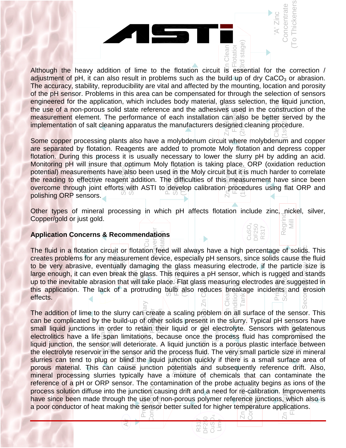

pa<br>n.<br>ial rated<br>Durii<br>g pH<br>mea urements have also been used in the Moly circuit but<br>effective reagent addition. The difficulties of this me<br>gh joint efforts with ASTI to develop calibration pre Monitoring pH will insure that optimum Moly flotation is taking place. ORP (oxidation reduction potential) measurements have also been used in the Moly circuit but it is much harder to correlate the reading to effective r SGAG Conce Sevents<br>Sevents Zn Cleaner Some copper processing plants also have a molybdenum circuit where molybdenum and copper are separated by flotation. Reagents are added to promote Moly flotation and depress copper flotation. During this process it is usually necessary to lower the slurry pH by adding an acid. Monitoring pH will insure that optimum Moly flotation is taking place. ORP (oxidation reduction the reading to effective reagent addition. The difficulties of this measurement have since been overcome through joint efforts with ASTI to develop calibration procedures using flat ORP and polishing ORP sensors.

yp<br>gc ינ<br>es<br>Id Regrind Mill Other types of mineral processing in which pH affects flotation include zinc, nickel, silver, Copper/gold or just gold.

CuSO DF250 R317 4

otation d stage)

 $\overline{\circ}$ 

'A' Zinc **Concentrate** (To Thickeners)

oncentrate

keners

Copper

The fluid in a flotation circuit or flotation reed will always have a high percentage of solids. This creates problems for any measurement device, especially pH sensors, since solids cause the fluid uid<br>S<br>Ve The fluid in a flotation circuit or flotation feed will always have a high percentage of solids. This creates problems for any measurement device, especially pH sensors, since solids cause the fluid large enough, it can even break the glass. This requires a pH sensor, which is rugged and stands<br>up to the inevitable abrasion that will take place. Flat glass measuring electrodes are suggested in <del>ی</del><br>atio<br>ent<br>gla<br>dal **Application Concerns & Recommendations**<br>The fluid in a flotation circuit or flotation feed<br>arectes archiems for any measurement device For grass measuring electrode, if the<br>
dis requires a pH sensor, which is rugged<br>
Sulti also reduces preakage incident<br>  $\frac{60 \text{ m/s}}{2}$  $F$ on Conc Zn Cleaner Conditional<br>Conditional Tank ea<br>Regre to be very abrasive, eventually damaging the glass measuring electrode, if the particle size is<br>large enough, it can even break the glass. This requires a pH sensor, which is rugged and stands<br>up to the inevitable abrasion Scav Conc Secon**alagy Scav Scap** up to the inevitable abrasion that will take place. Flat glass measuring electrodes are suggested in this application. The lack of a protruding bulb also reduces breakage incidents and erosion effects.

 $\overline{\mathcal{C}}$  $\overline{\phantom{a}}$ po<br>|<br>| i <mark>be</mark><br>all li<br>ctrol Olili可<br>- Milian / pi sc<br>- Milig sor and the process<br>The liquid junction<br>& junction potential<br>cally have a mixture Secondary<br>Secondary pan limitations, because once the process fluid has compared in the process fluid has compared to the process fluid in the venture of the sensor and the process fluid. The ventus mall particle site porous material. This can cause junction potentials and subsequently reference drift. Also,<br>mineral processing slurries typically have a mixture of chemicals that can contaminate the ≧econdary<br>Cu Secondary The addition of lime to the slurry can create a scaling problem on all surface of the sensor. This<br>can be complicated by the build-up of other solids present in the slurry. Typical pH sensors have<br>small liquid junctions in ⊕lips in She pie ni Curcuit Tails (Feed to Zn Circuit) Flot a point of the sensor will determine the process fluid. The very small particle size in mineral<br>the electrolyte reservoir in the sensor and the process fluid. The very small particle size in mineral Zn Bobje Conditioning<br>Condition ipiation. impi<br>junctions, wh<br>ature application Prefloat & Conditioning have since been made through the use of non-porous polymer reference junctions, which al<br>a poor conductor of heat making the sensor better suited for higher temperature applications. Zn Rougher small liquid junctions in order to retain their liquid or gel electrolyte. Sensors with gelatenous<br>electrolitics have a life span limitations, because once the process fluid has compromised the<br>liquid junction, the sensor Plotation<br>Flotation<br>Flotation reference of a pH or ORP sensor. The contamination of the probe actuality begins as ions of the<br>process solution diffuse into the junction causing drift and a need for re-calibration. Improvements can be complicated by the build-up of other solids present in the slurry. Typical pH sensors have electrolitics have a life span limitations, because once the process fluid has compromised the liquid junction, the sensor will deteriorate. A liquid junction is a porous plastic interface between slurries can tend to plug or blind the liquid junction quickly if there is a small surface area of mineral processing slurries typically have a mixture of chemicals that can contaminate the process solution diffuse into the junction causing drift and a need for re-calibration. Improvements have since been made through the use of non-porous polymer reference junctions, which also is

R317 DF250 CuSO Lime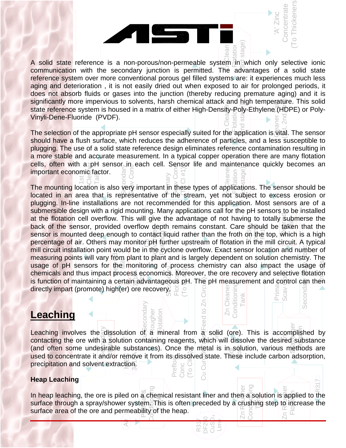

าg<br>)<br>วf<br>ลr File<br>table<br>: eco cells, often with a pH ser<br>important economic factor.<br>E E E E The selection of the appropriate pH sensor especially suited for the application is vital. The sensor should have a flush surface, which reduces the adherence of particles, and a less susceptible to plugging. The use of a solid state reference design eliminates reference contamination resulting in a more stable and accurate measurement. In a typical copper operation there are many flotation cells, often with a pH sensor in each cell. Sensor life and maintenance quickly becomes an

mili circuit installation point would be in the pyclone overflow. Exact sensor location and number of measuring points will vary from plant to plant and is largely dependent on solution chemistry. The nta<br>כו<br>C<br>C mill circuit installation point would be in the cyclone overflow. Exact sensor location and number of measuring points will vary from plant to plant and is largely dependent on solution chemistry. The usage of pH sensors f ).<br>sib<br>ot a<br>Ie<br>ati  $\frac{3349}{3}$  chemicals and thus impact process economics. Moreover, the ore recovery and selective flotation<br>is function of maintaining a certain advantageous pH. The pH measurement and control can then<br>directly impart (p or<br>in<br>t to<br>ecc<br>dv: back of the sensor, provided overflow depth remains constant. Care should be taken that the sensor is mounted deep enough to contact liquid rather than the froth on the top, which is a high percentage of air. Others may mo fd<br>Flo Flot **Goe**  $\frac{1}{2}$ <br>  $\frac{1}{2}$ <br>  $\frac{1}{2}$ <br>  $\frac{1}{2}$ <br>  $\frac{1}{2}$ <br>  $\frac{1}{2}$ <br>  $\frac{1}{2}$ <br>  $\frac{1}{2}$ <br>  $\frac{1}{2}$ <br>  $\frac{1}{2}$ <br>  $\frac{1}{2}$ <br>  $\frac{1}{2}$ <br>  $\frac{1}{2}$ <br>  $\frac{1}{2}$ <br>  $\frac{1}{2}$ <br>  $\frac{1}{2}$ <br>  $\frac{1}{2}$ <br>  $\frac{1}{2}$ <br>  $\frac{1}{2}$ <br>  $\frac{1}{2}$ <br> Scav Conc **Scav Conc** Zn Cleaner Conditioning Register<br>Reg usage of pH sensors for the monitoring of process chemistry can also impact the usage of<br>chemicals and thus impact process economics. Moreover, the ore recovery and selective flotation<br>is function of maintaining a certain Prin<br>Sca  $\frac{\partial}{\partial \theta}$ moty sa Goacondary Scave at the notation cell overhow. This will give the advantage of not having to totally submicled the<br>back of the sensor, provided overflow depth remains constant. Care should be taken that the at the flotation cell overflow. This will give the advantage of not having to totally submerse the<br>back of the sensor, provided overflow depth remains constant. Care should be taken that the<br>sensor is mounted deep epough t zneaner<br>Z The mounting location is also very important in these types of applications. The sensor should be located in an area that is representative of the stream, yet not subject to excess erosion or plugging. In-line installations are not recommended for this application. Most sensors are of a submersible design with a rigid mounting. Many applications call for the pH sensors to be installed percentage of air. Others may monitor pH further upstream of flotation in the mill circuit. A typical is function of maintaining a certain advantageous pH. The pH measurement and control can then directly impart (promote) high(er) ore recovery.

## **Leaching**

Copper

1st

<u>ead</u><br>achir and onen some didestigate substances). Once the higharts in solution, validus highnois are<br>used to concentrate it and/or remove it from its dissolved state. These include carbon adsorption,<br>precipitation and solvent extra Leaching involves the dissolution of a mineral from a solid (ore). This is accomplished by<br>contacting the ore with a solution containing reagents, which will dissolve the desired substance<br>(and often some undesirable subst Leaching involves the dissolution of a mineral from a solid (ore). This is accomplished by<br>contacting the ore with a solution containing reagents, which will dissolve the desired substance<br>(and often some undesirable subst Preflo Conc pu<del>R</del>econdary di⊟<br>Lime<br>Pi Cu Curching 予定です。<br>Cu Curcuit) (and often some undesirable substances). Once the metal is in solution, various methods are<br>used to concentrate it and/or remove it from its dissolved state. These include carbon adsorption, precipitation and solvent extraction.

Rougher tation

econdar

 $\overline{\Gamma}$ 

Tank

Secon

Condition

ean

 $\overline{\circ}$ 

 $\bar{\circ}$ 

 $\epsilon$ 

Ñ

 $\overline{a}$ ned.

 $\overline{5}$ 

'A' Zinc **Concentrate** (To Thickeners)

R317 DF250 CuSO Lime

#### **Heap Leaching**

surface area of the ore and permeability of the heap. Air<br>地域<br>イント<br>イント Zn R**aug**her Conditioning In heap leaching, the ore is piled on a chemical resistant liner and then a solution is applied to the<br>surface through a spray/shower system. This is often preceded by a crushing step to increase the Preference<br>Preference Conditioning Zn R**oug**her In heap leaching, the ore is piled on a chemical resistant liner and then a solution is applied to the surface through a spray/shower system. This is often preceded by a crushing step to increase the surface area of the o R317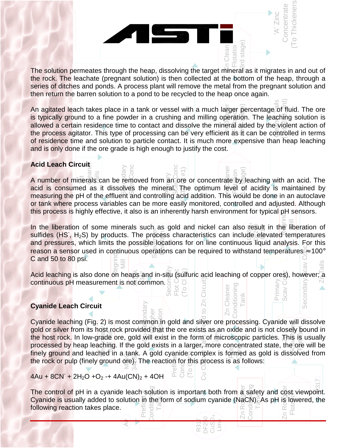n<br>of<br>ta di<br>rn<br> ت<br>ch<br>le Zn Clean The solution permeates through the heap, dissolving the target mineral as it migrates in and out of the rock. The leachate (pregnant solution) is then collected at the bottom of the heap, through a series of ditches and ponds. A process plant will remove the metal from the pregnant solution and then return the barren solution to a pond to be recycled to the heap once again.

ar<br>pe<br>nt e<br>Tati<br>⊥ (Beight)<br>(2nd stage)<br>(11) Cleaner Tails  $\frac{1}{2}$ An agitated leach takes place in a tank or vessel with a much larger percentage of fluid. The ore is typically ground to a fine powder in a crushing and milling operation. The leaching solution is allowed a certain residence time to contact and dissolve the mineral aided by the violent action of the process agitator. This type of processing can be very efficient as  $\bar{t}$  can be controlled in terms of residence time and solution to particle contact. It is much more expensive than heap leaching and is only done if the ore grade is high enough to justify the cost.

# or<br>ea  $\frac{1}{\pi}$ ch C **Acid Leach Circuit**

Copper

wh<br>es:<br>C u<br>el<br>S cuit<br>Terals<br>ଦୁଇକୁ  $\frac{5}{10}$   $\approx$   $\frac{5}{10}$   $\approx$   $\frac{2}{10}$   $\approx$   $\frac{2}{10}$   $\approx$   $\frac{2}{10}$   $\approx$   $\frac{2}{10}$   $\approx$   $\frac{2}{10}$  or concentrate by  $\frac{2}{10}$ <br>Sives the mineral  $\frac{1}{10}$  The optimum level of **Scars** Scav Conc zner<br>Zoner A number of minerals can be removed from an ore or concentrate by leaching with an acid. The acid is consumed as it dissolves the mineral. The optimum level of acidity is maintained by measuring the pH of the effluent and controlling acid addition. This would be done in an autoclave or tank where process variables can be more easily monitored, controlled and adjusted. Although this process is highly effective, it also is an inherently harsh environment for typical pH sensors.

reason a sensor us<br>C and 50 to 80 psi. re:<br>า ส<br>5เ From a sensor used in continuous operations can be required to withstand temperatures  $\approx 100^\circ$ <br>C and 50 to 80 psi. ossibl<br>us op<br>ps an<br>t.com Las<br>**oces**<br>Ploc<br>matic Regrind Mill Secondary Scav Conc In the liberation of some minerals such as gold and nickel can also result in the liberation of<br>sulfides (HS , H<sub>2</sub>S) by products. The process characteristics can include elevated temperatures 4 Regrind In the liberation of some minerals such as gold and nickel can also result in the liberation of and pressures, which limits the possible locations for on line continuous liquid analysis. For this

Zn<sub>n</sub>Tails Secon間<br>Flot C G<br>Flot Cl (1)<br>Cl o Cl (1) Flot Conc Scav Conc Acid leaching is also done on heaps and in-situ (sulfuric acid leaching of copper ores), however; a continuous pH measurement is not common.  $\frac{1}{5}$   $\circ$   $\frac{1}{5}$ Circui Conditioning **Conditioning** Secondar Prima<br>Scav ( Zn Cleaner Cleaner

Tank

**Flotation** stage

 $\overline{\bigcirc}$ 

'A' Zinc **Concentrate** (To Thickeners)

### **Cyanide Leach Circuit**

anid<mark>e</mark><br>d or<br>hos nk. A gold cyanide.com<br>  $\frac{9}{2}$ . The reaction for the set of the set of the set of the set of the set of the set of the set of the set of the set of the set of the set of the set of the set of the set of the set of the os<br>Bech<br>Je e ore, gold will exist in the form of microscopic particles. The<br>Ball Mill exists in a larger, more concentrated state, the<br>Alite of table A would exercise particles in formal or and in distribution **Conc** (ଆ **ବି**କ୍ଟିଠା।dary ื้e<br>Lon.ั<br>Fina  $\frac{1}{10}$ <br>Circles<br>otla Cu Cu**Rails 好尽的** Curcuit) processed by neap leaching. If the gold exists in a larger, more concentrated state, the ore will be<br>finely ground and leached in a tank. A gold cyanide complex is formed as gold is dissolved from Sun<br>Super<br>Fotation<br>Totation Cyanide leaching (Fig. 2) is most common in gold and silver ore processing. Cyanide will dissolve gold or silver from its host rock provided that the ore exists as an oxide and is not closely bound in the host rock. In low-grade ore, gold will exist in the form of microscopic particles. This is usually processed by heap leaching. If the gold exists in a larger, more concentrated state, the ore will be the rock or pulp (finely ground ore). The reaction for this process is as follows:

Rod Mill  $4Au + 8CN + 2H<sub>2</sub>O + O<sub>2</sub> + 4Au(CN)<sub>2</sub> + 4OH$ 

following reaction takes place. ين Wile<br>Missimari<br>Vidinari Zn Ro**gge**r Conditioning tion is important both from a safety and cost<br>  $\frac{1}{2}$  form of sodium cyanide (NaCN) As pH is lot<br>  $\frac{1}{2}$   $\approx$   $\frac{1}{2}$   $\approx$   $\frac{1}{2}$   $\approx$   $\frac{1}{2}$ Prefloat & Conditioning Zn Rowgber The control of pH in a cyanide leach solution is important both from  $\frac{\bar{x}}{2}$  safety and cost viewpoint. Cyanide is usually added to solution in the form of sodium cyanide (NaCN). As pH is lowered, the

R317 DF250 CuSO Lime

 $\overline{\Sigma}$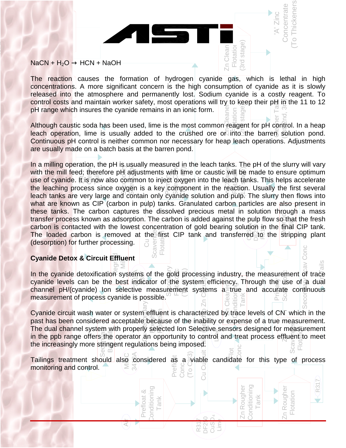#### $NaCN + H<sub>2</sub>O \rightarrow HCN + NaOH$

Copper

Cu<br>Ntl<br>C<br>Clean ati<br>ir<br>ps <sub>ว่า</sub><br>)ทะ<br>bic<br>hic The reaction causes the formation of hydrogen cyanide gas, which is lethal in high concentrations. A more significant concern is the high consumption of cyanide as it is slowly released into the atmosphere and permanently lost. Sodium cyanide is a costly reagent. To control costs and maintain worker safety, most operations will try to keep their  $pH$  in the 11 to 12 pH range which insures the cyanide remains in an ionic form.

Zn Clean **Flotation** (3rd stage)

Zn Clean

'A' Zinc **Concentrate** (To Thickeners)

hickeners oncentrate

**Zn Cleaner** pH range which insures the cyanide remains in an ionic form.<br>Although caustic soda has been used, lime is the most common reagent for pH control. In a heap (2nd stage) Cleaner Tails  $(95 + 2 - 3 + 3)$ leach operation, lime is usually added to the crushed ore on into the barren solution pond. Continuous pH control is neither common nor necessary for heap leach operations. Adjustments are usually made on a batch basis at the barren pond.

ua<br>illi<br>e ry ma<br>ng op<br>mill f In a milling operation, the pH is usually measured in the leach tanks. The pH of the slurry will vary or<br>S<br>S Susually measured in the leady tanks.<br>He adjustments with lime or caustic will be<br>common to inject oxygen into the leady ta<br>wigen is a key component in the reaction Score<br>Conce Scave Conce Zn Cleaner with the mill feed; therefore p $\boxplus$  adjustments with lime or caustic will be made to ensure optimum with the mill feed; therefore pH adjustments with lime or caustic will be made to ensure optimum<br>use of cyanide. It is now also common to inject oxygen into the leach tanks. This helps accelerate the leaching process since oxygen is a key component in the reaction. Usually the first several leach tanks are very large and contain only cyanide solution and pulp. The slurry then flows into ร<br>:ท<br>oc what are known as CIP (carbon in pulp) tanks. Granulated carbon particles are also present in e |<br>an<br>pi these tanks. The carbon captures the dissolved precious metal in solution through a mass transfer process known as adsorption. The carbon is added against the pulp flow so that the fresh carbon is contacted with the lowest concentration of gold bearing solution in the final CIP tank. darister process known as adsorption. The carbon is added against the pup now so that the fiestile<br>carbon is contacted with the lowest concentration of gold bearing solution in the final CIP tank. carbon is contacted with the lowest concentration of gold bearing solution in the final CIP tank.<br>The loaded carbon is removed at the first CIP tank and transferred to the stripping plant (desorption) for further processing. Scavenger Flotat Conc

#### Tank Cyanide Det pt<br>**de**  $\mathbf{R}$ egr $\mathbf{R}$ Mill **Cyanide Detox & Circuit Effluent**

Rod Mill Feed

('A' O- ) 8

 $\frac{3}{8}$ <br>  $\frac{3}{8}$ <br>  $\frac{3}{8}$ <br>  $\frac{3}{8}$ <br>  $\frac{3}{8}$ <br>  $\frac{3}{8}$ <br>  $\frac{3}{8}$ <br>  $\frac{3}{8}$ <br>  $\frac{3}{8}$ <br>  $\frac{3}{8}$ <br>  $\frac{3}{8}$ <br>  $\frac{3}{8}$ <br>  $\frac{3}{8}$ <br>  $\frac{3}{8}$ <br>  $\frac{3}{8}$ <br>  $\frac{3}{8}$ <br>  $\frac{3}{8}$ <br>  $\frac{3}{8}$ <br>  $\frac{3}{8}$ <br>  $\frac{3}{8}$ <br> Secondary Scape Scape  $\frac{3}{2}$ <br>andicator of the synchronous<br>ive measurement  $F$ die Co Scave Co In the cyanide detoxification systems of the gold processing industry, the measurement of trace cyanide levels can be the best indicator of the system efficiency. Through the use of a dual Primary<br>Prima Conditioning<br>Conditioning Zn Cleaner channel pH/(cyanide) Ion selective measurement systems a true and accurate continuous measurement of process cyanide is possible.  $\bigcirc$ ö Tank  $\overline{\bigcirc}$ 

past has been considered acceptable because of the inability or expense of a true measurement.<br>The dual channel system with properly selected Ion Selective sensors designed for measurement<br>in the ppb range offers the opera Secondary ie operator an opportunity to control and treat process effli<br>ngent regulations being imposed. area<br>Cu Secondari Cyanide circuit wash water or system effluent is characterized by trace levels of CN which in the<br>past has been considered acceptable because of the inability or expense of a true measurement.<br>The dual channel system with  $\mathbf{E}$ (Histo IZ enable) gial filter i History<br>C The dual channel system with properly selected Ion Selective sensors designed for measurement<br>in the ppb range offers the operator an opportunity to control and treat process effluent to meet<br>the increasingly more stringe Flotatic**a** in the ppb range offers the operator an opportunity to control and treat process effluent to meet the increasingly more stringent regulations being imposed.

 $\overline{A}$  MIBC Tailings treatment should also considered as a viable candidate for this type of process<br>monitoring and control. Prefl Conc  $\overline{\overline{C}}$ monitoring and control.

Prefloat & Conditioning Tank

Prefloat

⊘

onditioning

R317 DF250 CuSO Lime Zn Rougher Conditioning Tank

F

Conditioning Rougher

Zn Rougher Flotation

 $E_{\text{A}}$ 

Roughe

R317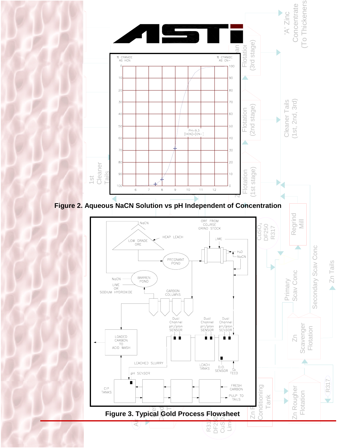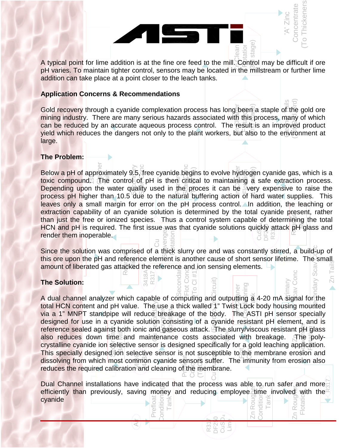

pH varies. To maintain tighter control, sensors may be located in the millstream or further lime addition can take place at a point closer to the leach tanks.

#### ..<br>al<br>ec io<br>I ا<br>ا<br>erv **Application Concerns & Recommendations**

AH<br>CHEC<br>Du Gold recovery through a cyanide complexation process has long been a staple of the gold ore<br>mining industry. There are many serious hazards associated with this process, many of which<br>can be reduced by an accurate aqueous reighe<br>Stage)<br>ISc Cleanar <del>Ta</del>ils  $\begin{matrix} 1 \ 1 \ 1 \end{matrix}$   $\begin{matrix} 0 \ 2 \ 1 \end{matrix}$ Gold recovery through a cyanide complexation process has long been a staple of the gold ore mining industry. There are many serious hazards associated with this process, many of which yield which reduces the dangers not only to the plant workers, but also to the environment at large.

#### **The Problem:**

วท<br>ภ<br>:t ד<br>y<br>he o<br>a <mark>blem</mark><br>bH of Below a pH of approximately 9.5, tree cyanide begins to evolve hydrogen cyanide gas, which is a<br>toxic\_compound. The controEoL pH is there critical\_to\_maintaining a safe\_extraction\_process. Cleaner Since the solution was comprised of a thick slurry ore and was constantly stirred, a build-up of Secondary Begins to evolve hydroge<br>
Sof pH is then critical to maintaining a<br>
dality used in the proces it can be Over SmyCanc S**car** Conc The main just the first of form and pH is required. The first issue was that cyanide solutions quickly attack pH glass and render them inoperable. than just the free or ionized species. Thus a control system capable of determining the total<br>HCN and pH is required. The first issue was that cyanide solutions quickly attack pH glass and zn Polen Below a pH of approximately 9.5, free cyanide begins to evolve hydrogen cyanide gas, which is a Depending upon the water quality used in the proces it can be  $\cong$  very expensive to raise the process pH higher than 10.5 due to the natural buffering action of hard water supplies. This leaves only a small margin for error on the pH process control. In addition, the leaching or extraction capability of an cyanide solution is determined by the total cyanide present, rather render them inoperable.

Since the solution was comprised of a thick slurry ore and was constantly stirred, a build-up of this ore upon the pH and reference element is another cause of short sensor lifetime. The small th<br>ent e so<br>upon<br>of lib 3418A To<br>fa<br>aler<br>R2∏ Secondar**y** Pregrind<br>Regri allowed upon the privation reference element is another cause of short sensing elements. Secondary Scav Conc Zn Tails

ā

#### **The Solution:**

Rod Mill Feed

('A' O- ) 8

<mark>igne</mark><br>Pren<br>פז ב tive sensor is not su<br>fon cyanide sensors<br>nd cleaning of the m st<br>Secondary and maintenance costs associated with breakage.<br>
and maintenance costs associated with breakage.<br>
active sensor is designed specifically for a gold leaching ap reduces the required calibration and cleaning of the membrane. Cu Secondary via a 1" MNPT standpipe will reduce breakage of the body. The ASTI pH sensor specially<br>designed for use in a cyanide solution consisting of a cyanide resistant pH element, and is<br>reference sealed against both ionic and gas Flot Cond (To Cl #1) ことの N<br>Nite<br>N m コー Cup De Go Co Co Circuit)<br>Cup De Go Circuit of Europe zh Cleaner Conditioning i<br>R<br>k Crystalline cyanide ion selective sensor is designed specifically for a gold lead in application.<br>This specially designed ion selective sensor is not susceptible to the membrane erosion and s<br>SH<br>Te<br>Te<br>Sion The Solution:<br>
A dual channel analyzer which capable of computing and outputting  $\frac{5}{6}$  of the state  $\frac{5}{6}$  of the  $\frac{5}{6}$  of the  $\frac{5}{6}$  outputting  $\frac{5}{6}$  4-20 mA signal for the Scav Conc total HCN content and pH value. The use a thick walled 1" Twist Lock body housing mounted via a 1" MNPT standpipe will reduce breakage of the body. The ASTI pH sensor specially designed for use in a cyanide solution consisting of a cyanide resistant pH element, and is also reduces down time and maintenance costs associated with breakage. The polycrystalline cyanide ion selective sensor is designed specifically for a gold leaching application. dissolving from which most common cyanide sensors suffer. The immunity from erosion also

回到下行<br>< Ni / C / C / C / C Zn Rougher Conditioneng Tank Prefloat & Condition<br>
<sub>D</sub>ondition<br>
Bondition Tank Zn Rougler Dual Channel installations have indicated that the process was able to run safer and more efficiently than previously, saving money and reducing employee time involved with the cyanide

R317 DF250 CuSO Lime  $\frac{1}{2}$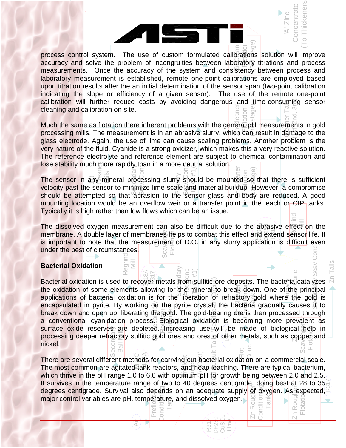.u<br>itr<br>in<br>ng upon titration results after the an initial determination of the sensor span (two-point calibration<br>indicating the slope or efficiency of a given sensor). The use of the remote one-point<br>calibration will further reduce cos na<br>n<br>wi<br>d d z **PCB**an process control system. The use of custom formulated calibrations solution will improve<br>accuracy and solve the problem of incongruities between laboratory titrations and process process control system. The use of custom formulated calibrations solution will improve measurements. Once the accuracy of the system and consistency between process and laboratory measurement is established, remote one-point calibrations are employed based upon titration results after the an initial determination of the sensor span (two-point calibration indicating the slope or efficiency of a given sensor). The use of the remote one-point cleaning and calibration on-site.

atı<br>:fe<br>... re or<br>ence<br>ility n **Zh Cleaner** Cleaning and calibration on-site.<br>Much the same as flotation there inherent problems with the general pH measurements in gold (Pin**王**stage) Cleaner Tails 15th, 3rd<br>18th<br>18th processing mills. The measurement is in an abrasive slurry, which can result in damage to the glass electrode. Again, the use of lime can cause scaling problems. Another problem is the very nature of the fluid. Cyanide is a strong oxidizer, which makes this a very reactive solution. The reference electrolyte and reference element are subject to chemical contamination and lose stability much more rapidly than in a more neutral solution.

g<br>/ i Flot<br>Fis ch mor<br>ສັກ<u>y</u>ຶ່ງໜີ້  $\frac{1}{8}$  Flotation and Flotation solution.<br>
Focessing slurry should be mounted solution<br>
The scale and material buildup. He<br>
Shrasion to the Sensor class and body Scav Conc San Lone za Elemen The sensor in any mineral processing slurry should be mounted so that there is sufficient velocity past the sensor to minimize lime scale and material buildup. However, a compromise should be attempted so that abrasion to the sensor glass and body are reduced. A good mounting location would be an overflow weir or a transfer point in the leach or CIP tanks. Typically it is high rather than low flows which can be an issue.

 $\overline{a}$ or<br>th<br>**ri**a under the best of circumstances.<br>
Racterial Oxidation ısuret<br><sub>≊</sub><br>ver m  $\frac{2}{3}$ <br> $\frac{5}{3}$ <br> $\frac{5}{3}$ <br> $\frac{1}{3}$ <br> $\frac{1}{3}$ <br> $\frac{1}{3}$ <br> $\frac{1}{3}$ <br> $\frac{1}{3}$ The dissolved oxygen measurement can also be difficult due to the abrasive effect on the<br>membrane. A double layer of membranes helps to combat this effect and extend sensor life. It 4 Regrind The dissolved oxygen measurement can also be difficult due to the abrasive effect on the is important to note that the measurement of D.O. in any slurry application is difficult even

#### **Bacterial Oxidation**

Regrind Mill

Rod Mill Feed

('A' O- ) 8

conv<br>face<br>cess Secon**ag***y* Fory sulfitic gold ores and ores of other metals, such as  $\cos \theta$ Cu Secondary<br>Cu Secondary<br>Cu Secondary got<br>Bioto<br>Anc  $\begin{array}{c}\n\geq 0 \\
\text{Im}\; \mathbb{S} \\
\text{Im}\; \mathbb{S}\n\end{array}$ Fronc Cuit Tails (Feed to Zh Circuit) \_<br>ak<br>อิก Society<br>Dip<br>Condition applications of bacterial oxidation is for the liberation of refractory gold where the gold is<br>encapsulated in pyrite. By working on the pyrite crystals the bacteria gradually causes it to surface oxide reserves are depleted. Increasing use will be made of biological help in<br>processing deeper refractory sulfitic gold ores and ores of other metals, such as copper and<br>nickel. Flotation eri<br>Primar<br>C ⊂ap<br>Deb<br>55 Suo Ages Meater Stave Bacterial Oxidation<br>Bacterial oxidation is used to recover metals from sulfitic ore deposits. The bacteria catalyzes the oxidation of some elements allowing for the mineral to break down. One of the principal encapsulated in pyrite. By working on the pyrite crystal, the bacteria gradually causes it to break down and open up, liberating the gold. The gold-bearing ore is then processed through a conventional cyanidation process. Biological oxidation is becoming more prevalent as processing deeper refractory sulfitic gold ores and ores of other metals, such as copper and nickel.

Rod Mill Chid耳① ra sls t∈ There are several different methods for carrying out bacterial oxidation on a commercial scale.<br>The most common are agitated tank reactors, and heap leaching. There are typical bacterium,<br>which thrive in the pH range 1.0 The most common are agitated tank reactors, and heap leaching. There are typical bacterium,<br>which thrive in the pH range 1.0 to 6.0 with optimum pH for growth being between 2.0 and 2.5. enti\_) chircer<br>centicersty Zn Rougler Condition**g** Tank Prefloat & Conditioning major control variables are pH, temperature, and dissolved oxygen.<br>  $\frac{1}{\sqrt{6}} \equiv \frac{1}{\sqrt{6}}$ Zn Rougher It survives in the temperature range of two to 40 degrees centigrade, doing best at 28 to 35<sup>th</sup><br>degrees centigrade. Survival also depends on an adequate supply of exvgen. As expected which thrive in the pH range 1.0 to 6.0 with optimum pH for growth being between 2.0 and 2.5. degrees centigrade. Survival also depends on an adequate supply of oxygen. As expected,

R317 DF250 CuSO Lime Flot

'A' Zinc **Concentrate** (To Thickeners)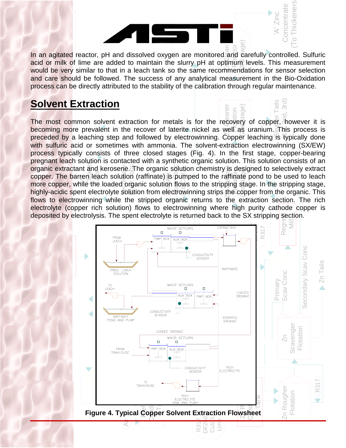

**ZECLean** ្ត<br>ក្នុង ចិន<br>ក្នុង<br>ក្នុង<br>ក្នុង In an agitated reactor, pH and dissolved oxygen are monitored and carefully controlled. Sulfuric acid or milk of lime are added to maintain the slurry pH at optimum levels. This measurement would be very similar to that in a leach tank so the same recommendations for sensor selection and care should be followed. The success of any analytical measurement in the Bio-Oxidation process can be directly attributed to the stability of the calibration through regular maintenance.

Flotation

ď ag

aner

Zinc **Concentrate** (To Thickeners)

nickeners oncentrate

 $\circ$ 

3rd)  $\ddot{\bar{\vec{\sigma}}}$ 

# $\frac{dS}{dS}$ process can be directly attribu<br><mark>Solvent Extraction</mark>  $\frac{1}{2}$

Copper

Rod Mill Feed

('A' O- ) 8

electrolyte (copper rich solution) flows to electrowinning where high purity cathode copercity deposited by electrolysis. The spent electrolyte is returned back to the SX stripping section. le<br>by  $S$ <br>in  $C$ ty<br>Ext process typically consists of three closed stages (Fig. 4). In the first stage, copper-bearing<br>pregnant leach solution is contacted with a synthetic organic solution. This solution consists of an<br>organic extractant and ker copper. The barren leach solution (raffinate) is pumped to the raffinate pond to be used to leach<br>more copper, while the loaded organic solution flows to the stripping stage. In the stripping stage,<br>highly-acidic spent ele progrim is between the contactor will be contacted with a symmology organic solution. This solution conclusion or<br>copper. The barren leach solution (raffinate) is pumped to the raffinate pond to be used to leach<br>more coppe organic extractant and kerosene. The organic solution chemistry is designed to selectively extract<br>copper. The barren leach solution (raffinate) is pumped to the raffinate pond to be used to leach<br>more copper, while the lo ිරි<br>Scav Conc<br>ශ්ර So Co<br>中和地 Panera<br>N<br>N z<br>Zaner (2nd stage) Cleaner Tails  $H \equiv 2$ nd, 3rd) The most common solvent extraction for metals is for the recovery of copper, however it is becoming more prevalent in the recover of laterite nickel as well as uranium. This process is preceded by a leaching step and followed by electrowinning. Copper leaching is typically done with sulfuric acid or sometimes with ammonia. The solvent-extraction electrowinning (SX/EW) pregnant leach solution is contacted with a synthetic organic solution. This solution consists of an more copper, while the loaded organic solution flows to the stripping stage. In the stripping stage, flows to electrowinning while the stripped organic returns to the extraction section. The rich electrolyte (copper rich solution) flows to electrowinning where high purity cathode copper is